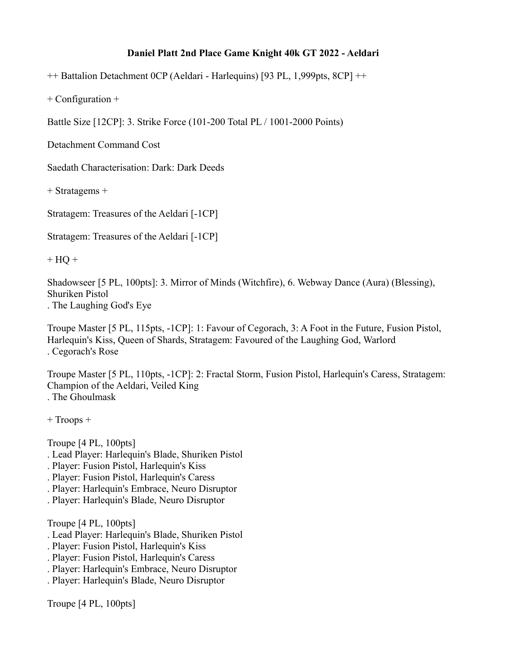## **Daniel Platt 2nd Place Game Knight 40k GT 2022 - Aeldari**

++ Battalion Detachment 0CP (Aeldari - Harlequins) [93 PL, 1,999pts, 8CP] ++

+ Configuration +

Battle Size [12CP]: 3. Strike Force (101-200 Total PL / 1001-2000 Points)

Detachment Command Cost

Saedath Characterisation: Dark: Dark Deeds

+ Stratagems +

Stratagem: Treasures of the Aeldari [-1CP]

Stratagem: Treasures of the Aeldari [-1CP]

 $+ HQ +$ 

Shadowseer [5 PL, 100pts]: 3. Mirror of Minds (Witchfire), 6. Webway Dance (Aura) (Blessing), Shuriken Pistol . The Laughing God's Eye

Troupe Master [5 PL, 115pts, -1CP]: 1: Favour of Cegorach, 3: A Foot in the Future, Fusion Pistol, Harlequin's Kiss, Queen of Shards, Stratagem: Favoured of the Laughing God, Warlord . Cegorach's Rose

Troupe Master [5 PL, 110pts, -1CP]: 2: Fractal Storm, Fusion Pistol, Harlequin's Caress, Stratagem: Champion of the Aeldari, Veiled King . The Ghoulmask

+ Troops +

Troupe [4 PL, 100pts]

- . Lead Player: Harlequin's Blade, Shuriken Pistol
- . Player: Fusion Pistol, Harlequin's Kiss
- . Player: Fusion Pistol, Harlequin's Caress
- . Player: Harlequin's Embrace, Neuro Disruptor
- . Player: Harlequin's Blade, Neuro Disruptor

Troupe [4 PL, 100pts]

- . Lead Player: Harlequin's Blade, Shuriken Pistol
- . Player: Fusion Pistol, Harlequin's Kiss
- . Player: Fusion Pistol, Harlequin's Caress
- . Player: Harlequin's Embrace, Neuro Disruptor
- . Player: Harlequin's Blade, Neuro Disruptor

Troupe [4 PL, 100pts]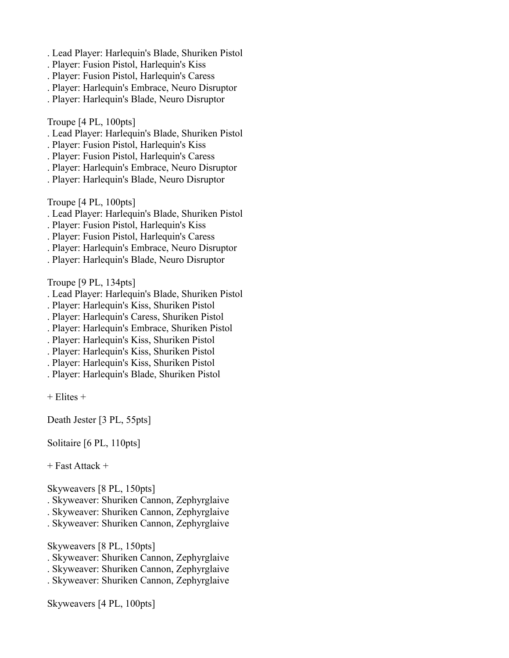- . Lead Player: Harlequin's Blade, Shuriken Pistol
- . Player: Fusion Pistol, Harlequin's Kiss
- . Player: Fusion Pistol, Harlequin's Caress
- . Player: Harlequin's Embrace, Neuro Disruptor
- . Player: Harlequin's Blade, Neuro Disruptor

Troupe [4 PL, 100pts]

- . Lead Player: Harlequin's Blade, Shuriken Pistol
- . Player: Fusion Pistol, Harlequin's Kiss
- . Player: Fusion Pistol, Harlequin's Caress
- . Player: Harlequin's Embrace, Neuro Disruptor
- . Player: Harlequin's Blade, Neuro Disruptor

Troupe [4 PL, 100pts]

- . Lead Player: Harlequin's Blade, Shuriken Pistol
- . Player: Fusion Pistol, Harlequin's Kiss
- . Player: Fusion Pistol, Harlequin's Caress
- . Player: Harlequin's Embrace, Neuro Disruptor
- . Player: Harlequin's Blade, Neuro Disruptor

Troupe [9 PL, 134pts]

- . Lead Player: Harlequin's Blade, Shuriken Pistol
- . Player: Harlequin's Kiss, Shuriken Pistol
- . Player: Harlequin's Caress, Shuriken Pistol
- . Player: Harlequin's Embrace, Shuriken Pistol
- . Player: Harlequin's Kiss, Shuriken Pistol
- . Player: Harlequin's Kiss, Shuriken Pistol
- . Player: Harlequin's Kiss, Shuriken Pistol
- . Player: Harlequin's Blade, Shuriken Pistol
- + Elites +

Death Jester [3 PL, 55pts]

Solitaire [6 PL, 110pts]

+ Fast Attack +

Skyweavers [8 PL, 150pts]

- . Skyweaver: Shuriken Cannon, Zephyrglaive
- . Skyweaver: Shuriken Cannon, Zephyrglaive
- . Skyweaver: Shuriken Cannon, Zephyrglaive

Skyweavers [8 PL, 150pts]

- . Skyweaver: Shuriken Cannon, Zephyrglaive
- . Skyweaver: Shuriken Cannon, Zephyrglaive
- . Skyweaver: Shuriken Cannon, Zephyrglaive

Skyweavers [4 PL, 100pts]